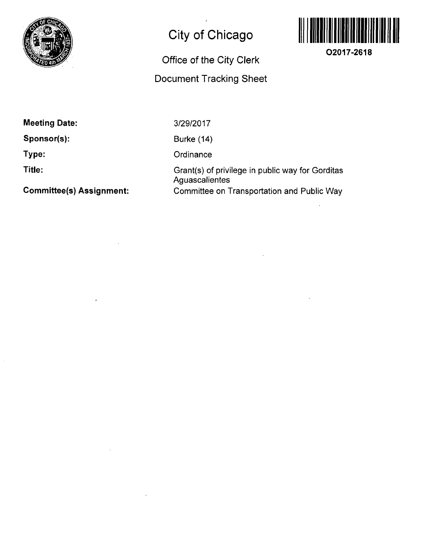

# **City of Chicago**

### **Office of the City Clerk**

### **Document Tracking Sheet**



**O2017-2618** 

**Meeting Date:** 

**Sponsor(s):** 

**Type:** 

**Title:** 

**Committee(s) Assignment:** 

3/29/2017

Burke (14)

**Ordinance** 

Grant(s) of privilege in public way for Gorditas Aguascalientes Committee on Transportation and Public Way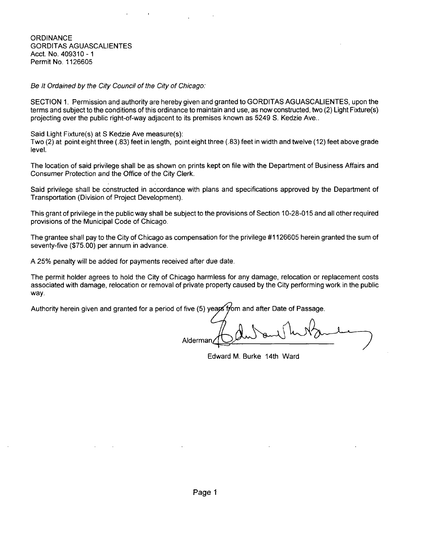**ORDINANCE** GORDITAS AGUASCALIENTES Acct No. 409310 -1 Permit No. 1126605

Be It Ordained by the City Council of the City of Chicago:

SECTION 1. Permission and authority are hereby given and granted to GORDITAS AGUASCALIENTES, upon the terms and subject to the conditions of this ordinance to maintain and use, as now constructed, two (2) Light Fixture(s) projecting over the public right-of-way adjacent to its premises known as 5249 S. Kedzie Ave..

Said Light Fixture(s) at S Kedzie Ave measure(s):

Two (2) at point eight three (.83) feet in length, point eight three (.83) feet in width and twelve (12) feet above grade level.

The location of said privilege shall be as shown on prints kept on file with the Department of Business Affairs and Consumer Protection and the Office of the City Clerk.

Said privilege shall be constructed in accordance with plans and specifications approved by the Department of Transportation (Division of Project Development).

This grant of privilege in the public way shall be subject to the provisions of Section 10-28-015 and all other required provisions of the Municipal Code of Chicago.

The grantee shall pay to the City of Chicago as compensation for the privilege #1126605 herein granted the sum of seventy-five (\$75.00) per annum in advance.

A 25% penalty will be added for payments received after due date.

The permit holder agrees to hold the City of Chicago harmless for any damage, relocation or replacement costs associated with damage, relocation or removal of private property caused by the City performing work in the public way.

Authority herein given and granted for a period of five (5) years from and after Date of Passage.

Alderman

Edward M. Burke 14th Ward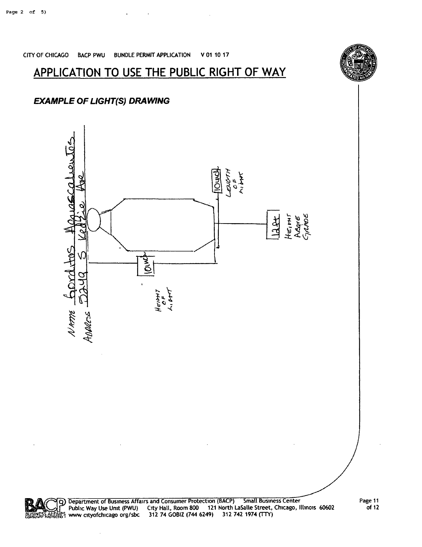

#### **EXAMPLE OF LIGHT(S) DRAWING**

## **APPLICATION TO USE THE PUBLIC RIGHT OF WAY**

CITY OF CHICAGO BACP PWU BUNDLE PERMIT APPLICATION V 01 10 17

 $\mathcal{A}$ 



 $\ddot{\phantom{a}}$